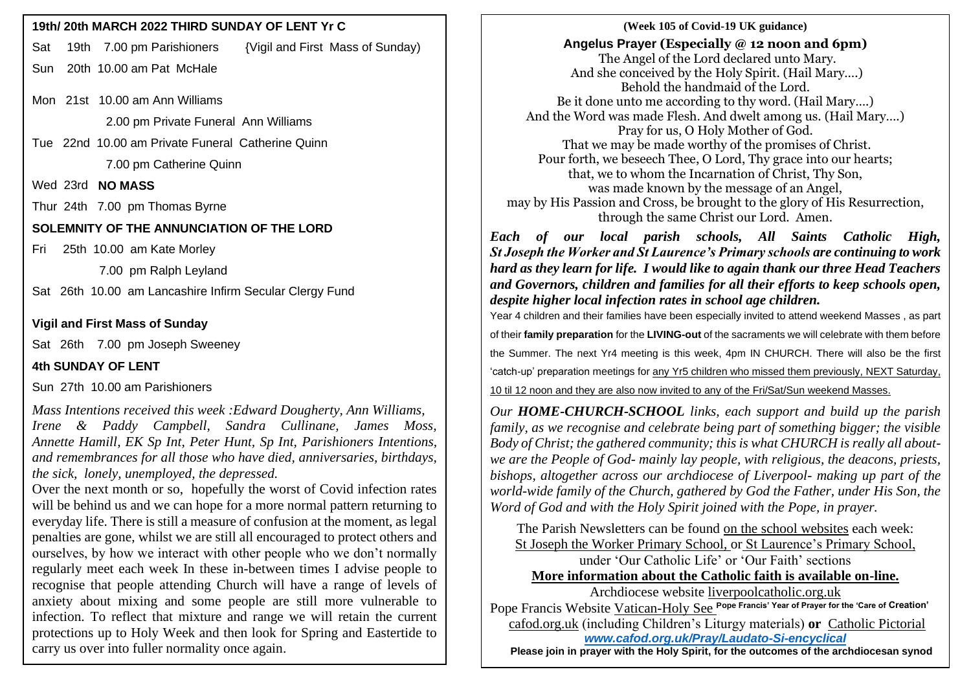Sat 19th 7.00 pm Parishioners {Vigil and First Mass of Sunday)

Sun 20th 10.00 am Pat McHale

Mon 21st 10.00 am Ann Williams

2.00 pm Private Funeral Ann Williams

Tue 22nd 10.00 am Private Funeral Catherine Quinn 7.00 pm Catherine Quinn

Wed 23rd **NO MASS**

Thur 24th 7.00 pm Thomas Byrne

**SOLEMNITY OF THE ANNUNCIATION OF THE LORD**

Fri 25th 10.00 am Kate Morley

7.00 pm Ralph Leyland

Sat 26th 10.00 am Lancashire Infirm Secular Clergy Fund

**Vigil and First Mass of Sunday**

Sat 26th 7.00 pm Joseph Sweeney

**4th SUNDAY OF LENT** 

Sun 27th 10.00 am Parishioners

*Mass Intentions received this week :Edward Dougherty, Ann Williams, Irene & Paddy Campbell, Sandra Cullinane, James Moss, Annette Hamill, EK Sp Int, Peter Hunt, Sp Int, Parishioners Intentions, and remembrances for all those who have died, anniversaries, birthdays, the sick, lonely, unemployed, the depressed.*

Over the next month or so, hopefully the worst of Covid infection rates will be behind us and we can hope for a more normal pattern returning to everyday life. There is still a measure of confusion at the moment, as legal penalties are gone, whilst we are still all encouraged to protect others and ourselves, by how we interact with other people who we don't normally regularly meet each week In these in-between times I advise people to recognise that people attending Church will have a range of levels of anxiety about mixing and some people are still more vulnerable to infection. To reflect that mixture and range we will retain the current protections up to Holy Week and then look for Spring and Eastertide to carry us over into fuller normality once again.

**19th/ 20th MARCH 2022 THIRD SUNDAY OF LENT Yr C**  $\qquad$  **|**  $\qquad$  **|**  $\qquad$  **(Week 105 of Covid-19 UK guidance) Angelus Prayer (Especially @ 12 noon and 6pm)** The Angel of the Lord declared unto Mary. And she conceived by the Holy Spirit. (Hail Mary….) Behold the handmaid of the Lord. Be it done unto me according to thy word. (Hail Mary….) And the Word was made Flesh. And dwelt among us. (Hail Mary….) Pray for us, O Holy Mother of God. That we may be made worthy of the promises of Christ. Pour forth, we beseech Thee, O Lord, Thy grace into our hearts; that, we to whom the Incarnation of Christ, Thy Son, was made known by the message of an Angel, may by His Passion and Cross, be brought to the glory of His Resurrection, through the same Christ our Lord. Amen.

> *Each of our local parish schools, All Saints Catholic High, St Joseph the Worker and St Laurence's Primary schools are continuing to work hard as they learn for life. I would like to again thank our three Head Teachers and Governors, children and families for all their efforts to keep schools open, despite higher local infection rates in school age children.*

> Year 4 children and their families have been especially invited to attend weekend Masses , as part of their **family preparation** for the **LIVING-out** of the sacraments we will celebrate with them before the Summer. The next Yr4 meeting is this week, 4pm IN CHURCH. There will also be the first 'catch-up' preparation meetings for any Yr5 children who missed them previously, NEXT Saturday,

10 til 12 noon and they are also now invited to any of the Fri/Sat/Sun weekend Masses.

*Our HOME-CHURCH-SCHOOL links, each support and build up the parish family, as we recognise and celebrate being part of something bigger; the visible Body of Christ; the gathered community; this is what CHURCH is really all aboutwe are the People of God- mainly lay people, with religious, the deacons, priests, bishops, altogether across our archdiocese of Liverpool- making up part of the world-wide family of the Church, gathered by God the Father, under His Son, the Word of God and with the Holy Spirit joined with the Pope, in prayer.*

The Parish Newsletters can be found on the school websites each week: St Joseph the Worker Primary School, or St Laurence's Primary School, under 'Our Catholic Life' or 'Our Faith' sections **More information about the Catholic faith is available on-line.**

Archdiocese website [liverpoolcatholic.org.uk](http://liverpoolcatholic.org.uk/)

Pope Francis Website Vatican-Holy See **Pope Francis' Year of Prayer for the 'Care of Creation'** cafod.org.uk (including Children's Liturgy materials) **or** Catholic Pictorial *[www.cafod.org.uk/Pray/Laudato-Si-encyclical](http://www.cafod.org.uk/Pray/Laudato-Si-encyclical)*

 **Please join in prayer with the Holy Spirit, for the outcomes of the archdiocesan synod**